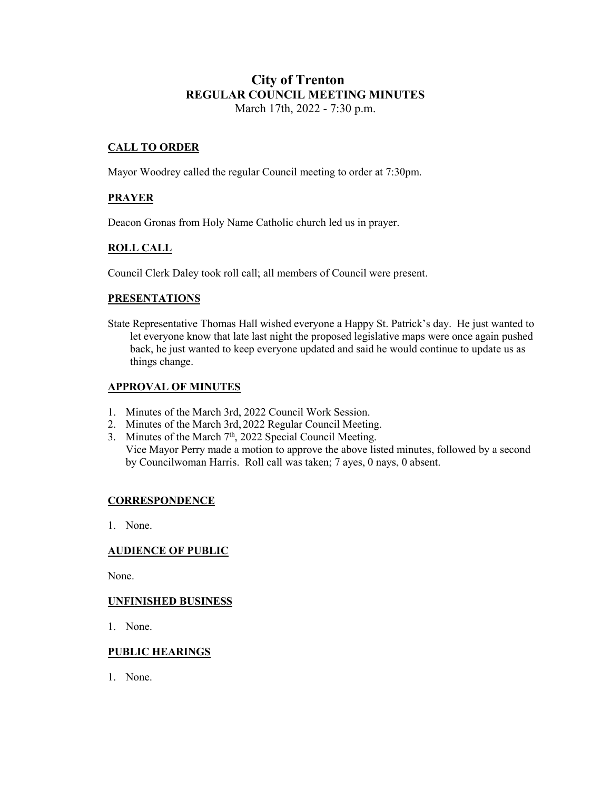# **City of Trenton REGULAR COUNCIL MEETING MINUTES** March 17th, 2022 - 7:30 p.m.

# **CALL TO ORDER**

Mayor Woodrey called the regular Council meeting to order at 7:30pm.

# **PRAYER**

Deacon Gronas from Holy Name Catholic church led us in prayer.

# **ROLL CALL**

Council Clerk Daley took roll call; all members of Council were present.

#### **PRESENTATIONS**

State Representative Thomas Hall wished everyone a Happy St. Patrick's day. He just wanted to let everyone know that late last night the proposed legislative maps were once again pushed back, he just wanted to keep everyone updated and said he would continue to update us as things change.

### **APPROVAL OF MINUTES**

- 1. Minutes of the March 3rd, 2022 Council Work Session.
- 2. Minutes of the March 3rd, 2022 Regular Council Meeting.
- 3. Minutes of the March  $7<sup>th</sup>$ , 2022 Special Council Meeting. Vice Mayor Perry made a motion to approve the above listed minutes, followed by a second by Councilwoman Harris. Roll call was taken; 7 ayes, 0 nays, 0 absent.

### **CORRESPONDENCE**

1. None.

### **AUDIENCE OF PUBLIC**

None.

### **UNFINISHED BUSINESS**

1. None.

#### **PUBLIC HEARINGS**

1. None.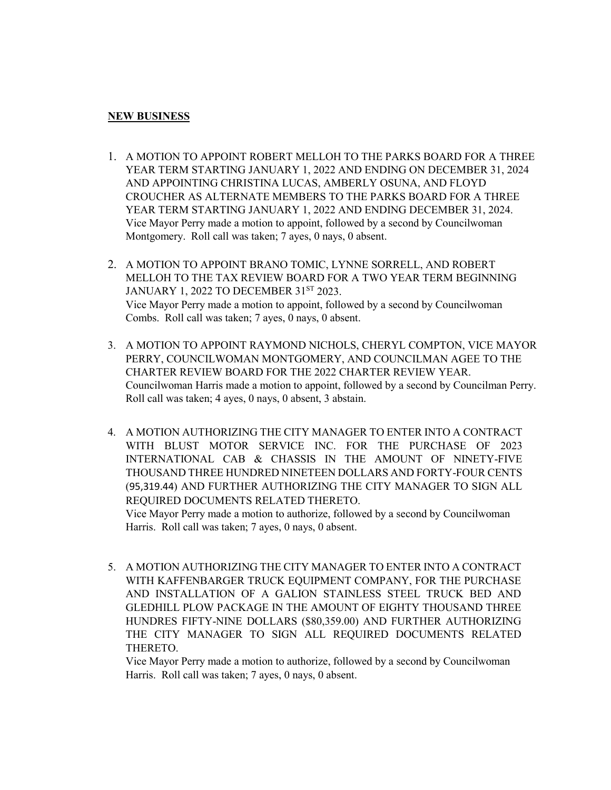### **NEW BUSINESS**

- 1. A MOTION TO APPOINT ROBERT MELLOH TO THE PARKS BOARD FOR A THREE YEAR TERM STARTING JANUARY 1, 2022 AND ENDING ON DECEMBER 31, 2024 AND APPOINTING CHRISTINA LUCAS, AMBERLY OSUNA, AND FLOYD CROUCHER AS ALTERNATE MEMBERS TO THE PARKS BOARD FOR A THREE YEAR TERM STARTING JANUARY 1, 2022 AND ENDING DECEMBER 31, 2024. Vice Mayor Perry made a motion to appoint, followed by a second by Councilwoman Montgomery. Roll call was taken; 7 ayes, 0 nays, 0 absent.
- 2. A MOTION TO APPOINT BRANO TOMIC, LYNNE SORRELL, AND ROBERT MELLOH TO THE TAX REVIEW BOARD FOR A TWO YEAR TERM BEGINNING JANUARY 1, 2022 TO DECEMBER 31ST 2023. Vice Mayor Perry made a motion to appoint, followed by a second by Councilwoman Combs. Roll call was taken; 7 ayes, 0 nays, 0 absent.
- 3. A MOTION TO APPOINT RAYMOND NICHOLS, CHERYL COMPTON, VICE MAYOR PERRY, COUNCILWOMAN MONTGOMERY, AND COUNCILMAN AGEE TO THE CHARTER REVIEW BOARD FOR THE 2022 CHARTER REVIEW YEAR. Councilwoman Harris made a motion to appoint, followed by a second by Councilman Perry. Roll call was taken; 4 ayes, 0 nays, 0 absent, 3 abstain.
- 4. A MOTION AUTHORIZING THE CITY MANAGER TO ENTER INTO A CONTRACT WITH BLUST MOTOR SERVICE INC. FOR THE PURCHASE OF 2023 INTERNATIONAL CAB & CHASSIS IN THE AMOUNT OF NINETY-FIVE THOUSAND THREE HUNDRED NINETEEN DOLLARS AND FORTY-FOUR CENTS (95,319.44) AND FURTHER AUTHORIZING THE CITY MANAGER TO SIGN ALL REQUIRED DOCUMENTS RELATED THERETO.

Vice Mayor Perry made a motion to authorize, followed by a second by Councilwoman Harris. Roll call was taken; 7 ayes, 0 nays, 0 absent.

5. A MOTION AUTHORIZING THE CITY MANAGER TO ENTER INTO A CONTRACT WITH KAFFENBARGER TRUCK EQUIPMENT COMPANY, FOR THE PURCHASE AND INSTALLATION OF A GALION STAINLESS STEEL TRUCK BED AND GLEDHILL PLOW PACKAGE IN THE AMOUNT OF EIGHTY THOUSAND THREE HUNDRES FIFTY-NINE DOLLARS (\$80,359.00) AND FURTHER AUTHORIZING THE CITY MANAGER TO SIGN ALL REQUIRED DOCUMENTS RELATED THERETO.

Vice Mayor Perry made a motion to authorize, followed by a second by Councilwoman Harris. Roll call was taken; 7 ayes, 0 nays, 0 absent.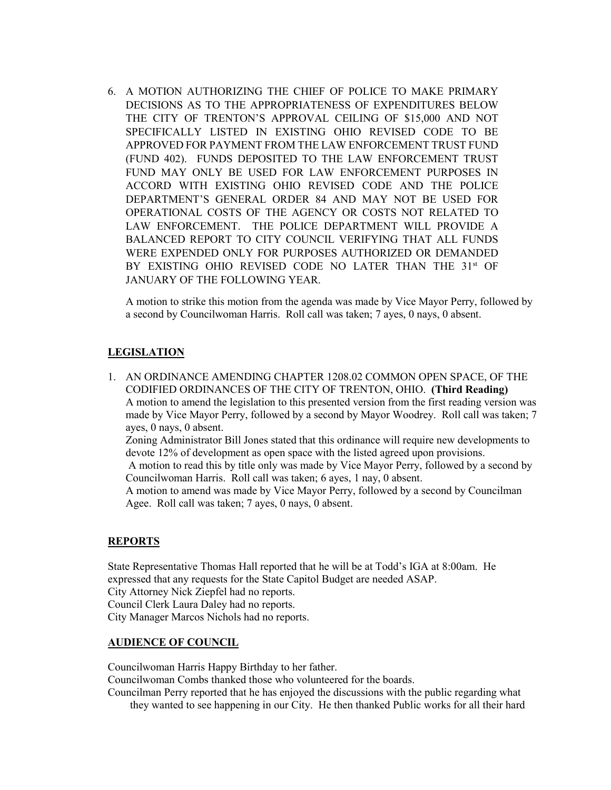6. A MOTION AUTHORIZING THE CHIEF OF POLICE TO MAKE PRIMARY DECISIONS AS TO THE APPROPRIATENESS OF EXPENDITURES BELOW THE CITY OF TRENTON'S APPROVAL CEILING OF \$15,000 AND NOT SPECIFICALLY LISTED IN EXISTING OHIO REVISED CODE TO BE APPROVED FOR PAYMENT FROM THE LAW ENFORCEMENT TRUST FUND (FUND 402). FUNDS DEPOSITED TO THE LAW ENFORCEMENT TRUST FUND MAY ONLY BE USED FOR LAW ENFORCEMENT PURPOSES IN ACCORD WITH EXISTING OHIO REVISED CODE AND THE POLICE DEPARTMENT'S GENERAL ORDER 84 AND MAY NOT BE USED FOR OPERATIONAL COSTS OF THE AGENCY OR COSTS NOT RELATED TO LAW ENFORCEMENT. THE POLICE DEPARTMENT WILL PROVIDE A BALANCED REPORT TO CITY COUNCIL VERIFYING THAT ALL FUNDS WERE EXPENDED ONLY FOR PURPOSES AUTHORIZED OR DEMANDED BY EXISTING OHIO REVISED CODE NO LATER THAN THE 31<sup>st</sup> OF JANUARY OF THE FOLLOWING YEAR.

A motion to strike this motion from the agenda was made by Vice Mayor Perry, followed by a second by Councilwoman Harris. Roll call was taken; 7 ayes, 0 nays, 0 absent.

#### **LEGISLATION**

1. AN ORDINANCE AMENDING CHAPTER 1208.02 COMMON OPEN SPACE, OF THE CODIFIED ORDINANCES OF THE CITY OF TRENTON, OHIO. **(Third Reading)** A motion to amend the legislation to this presented version from the first reading version was made by Vice Mayor Perry, followed by a second by Mayor Woodrey. Roll call was taken; 7 ayes, 0 nays, 0 absent.

Zoning Administrator Bill Jones stated that this ordinance will require new developments to devote 12% of development as open space with the listed agreed upon provisions.

A motion to read this by title only was made by Vice Mayor Perry, followed by a second by Councilwoman Harris. Roll call was taken; 6 ayes, 1 nay, 0 absent.

A motion to amend was made by Vice Mayor Perry, followed by a second by Councilman Agee. Roll call was taken; 7 ayes, 0 nays, 0 absent.

#### **REPORTS**

State Representative Thomas Hall reported that he will be at Todd's IGA at 8:00am. He expressed that any requests for the State Capitol Budget are needed ASAP. City Attorney Nick Ziepfel had no reports. Council Clerk Laura Daley had no reports. City Manager Marcos Nichols had no reports.

#### **AUDIENCE OF COUNCIL**

Councilwoman Harris Happy Birthday to her father.

Councilwoman Combs thanked those who volunteered for the boards.

Councilman Perry reported that he has enjoyed the discussions with the public regarding what they wanted to see happening in our City. He then thanked Public works for all their hard